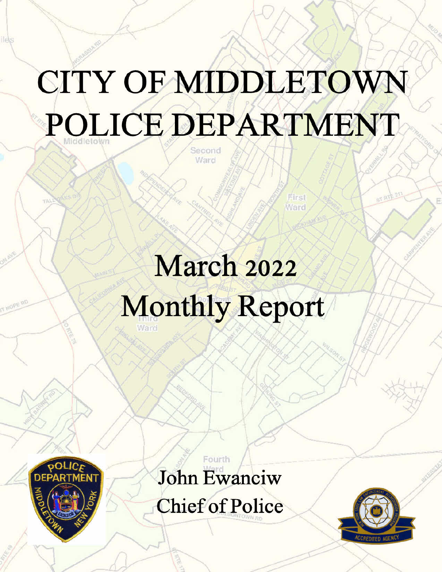# CITY OF MIDDLETOWN POLICE DEPARTMENT

March 2022 **Monthly Report** 



**Ilè**s

John Ewanciw

Fourth

**Chief of Police** 

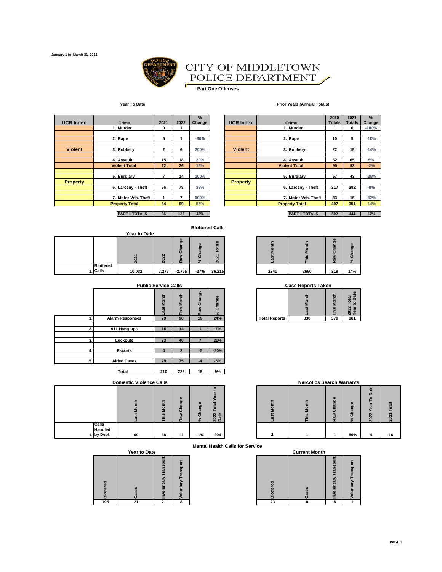

#### CITY OF MIDDLETOWN POLICE DEPARTMENT Í

 $\blacksquare$ **Part One Offenses**

#### **Year To Date Prior Years (Annual Totals)**

| <b>UCR Index</b> | Crime                 | 2021         | 2022 | %<br>Change | <b>UCR Index</b> | Crime                 | 2020<br><b>Totals</b> | 2021<br><b>Totals</b> |
|------------------|-----------------------|--------------|------|-------------|------------------|-----------------------|-----------------------|-----------------------|
|                  | 1. Murder             | 0            |      |             |                  | 1. Murder             |                       | $\bf{0}$              |
|                  |                       |              |      |             |                  |                       |                       |                       |
|                  | 2. Rape               | 5            |      | $-80%$      |                  | 2. Rape               | 10                    | 9                     |
|                  |                       |              |      |             |                  |                       |                       |                       |
| <b>Violent</b>   | 3. Robbery            | $\mathbf{2}$ | 6    | 200%        | <b>Violent</b>   | 3. Robbery            | 22                    | 19                    |
|                  |                       |              |      |             |                  |                       |                       |                       |
|                  | 4. Assault            | 15           | 18   | 20%         |                  | 4. Assault            | 62                    | 65                    |
|                  | <b>Violent Total</b>  | 22           | 26   | 18%         |                  | <b>Violent Total</b>  | 95                    | 93                    |
|                  | 5. Burglary           | 7            | 14   | 100%        |                  | 5. Burglary           | 57                    | 43                    |
| <b>Property</b>  |                       |              |      |             | <b>Property</b>  |                       |                       |                       |
|                  | 6. Larceny - Theft    | 56           | 78   | 39%         |                  | 6. Larceny - Theft    | 317                   | 292                   |
|                  |                       |              |      |             |                  |                       |                       |                       |
|                  | 7. Motor Veh. Theft   |              |      | 600%        |                  | 7. Motor Veh. Theft   | 33                    | 16                    |
|                  | <b>Property Total</b> | 64           | 99   | 55%         |                  | <b>Property Total</b> | 407                   | 351                   |

|                |                       | 2. Rape              | 5            |    | $-80%$ |                 | 2. Rape               | 10  | 9   | $-10%$ |
|----------------|-----------------------|----------------------|--------------|----|--------|-----------------|-----------------------|-----|-----|--------|
|                |                       |                      |              |    |        |                 |                       |     |     |        |
| <b>Violent</b> |                       | 3. Robbery           | $\mathbf{2}$ | 6  | 200%   | <b>Violent</b>  | 3. Robberv            | 22  | 19  | $-14%$ |
|                |                       |                      |              |    |        |                 |                       |     |     |        |
|                |                       | 4. Assault           | 15           | 18 | 20%    |                 | 4. Assault            | 62  | 65  | 5%     |
|                |                       | <b>Violent Total</b> | 22           | 26 | 18%    |                 | <b>Violent Total</b>  | 95  | 93  | $-2%$  |
|                |                       |                      |              |    |        |                 |                       |     |     |        |
|                |                       | 5. Burglary          |              | 14 | 100%   |                 | 5. Burglary           | 57  | 43  | $-25%$ |
| Property       |                       |                      |              |    |        | <b>Property</b> |                       |     |     |        |
|                |                       | 6. Larceny - Theft   | 56           | 78 | 39%    |                 | 6. Larceny - Theft    | 317 | 292 | $-8%$  |
|                |                       |                      |              |    |        |                 |                       |     |     |        |
|                |                       | 7. Motor Veh. Theft  |              |    | 600%   |                 | 7. Motor Veh. Theft   | 33  | 16  | $-52%$ |
|                | <b>Property Total</b> |                      | 64           | 99 | 55%    |                 | <b>Property Total</b> | 407 | 351 | $-14%$ |

**PART 1 TOTALS 86 125 45% PART 1 TOTALS 502 444 -12%**

#### **Blottered Calls**

|  |                  |              |                       |                                 | <b>Blottered Calls</b>          |                                                         |      |      |                                             |                                        |
|--|------------------|--------------|-----------------------|---------------------------------|---------------------------------|---------------------------------------------------------|------|------|---------------------------------------------|----------------------------------------|
|  |                  | Year to Date |                       |                                 |                                 |                                                         |      |      |                                             |                                        |
|  |                  |              | $\sim$<br>$\sim$<br>┍ | œ<br>Ō<br>$\mathbf c$<br>ത<br>œ | $\bullet$<br>ත<br>ത<br>ō<br>. c | S<br><u>Tai</u><br>-<br>$\overline{ }$<br>$\frac{2}{3}$ | ≖    |      | $\omega$<br>ත<br>ത<br>$\boldsymbol{\varpi}$ | $\bullet$<br>ಠಾ<br>m<br>ō<br>$\approx$ |
|  | <b>Blottered</b> |              |                       |                                 |                                 |                                                         |      |      |                                             |                                        |
|  | 1. Calls         | 10,032       | 7,277                 | $-2,755$                        | $-27%$                          | 36,215                                                  | 2341 | 2660 | 319                                         | 14%                                    |

|    | <b>Public Service Calls</b> |                     |                |                         |                    |                      | <b>Case Reports Taken</b> |              |                                  |
|----|-----------------------------|---------------------|----------------|-------------------------|--------------------|----------------------|---------------------------|--------------|----------------------------------|
|    |                             | <b>Month</b><br>ast | Month<br>۵L    | Change<br>₹<br><b>g</b> | g,<br>Chang<br>వ్ౖ |                      | <b>Month</b><br>ast       | Month<br>his | Total<br>to Date<br>2022<br>Vear |
|    | <b>Alarm Responses</b>      | 79                  | 98             | 19                      | 24%                | <b>Total Reports</b> | 330                       | 370          | 981                              |
|    |                             |                     |                |                         |                    |                      |                           |              |                                  |
| 2. | 911 Hang-ups                | 15                  | 14             | $-1$                    | $-7%$              |                      |                           |              |                                  |
|    |                             |                     |                |                         |                    |                      |                           |              |                                  |
| 3. | Lockouts                    | 33                  | 40             |                         | 21%                |                      |                           |              |                                  |
|    |                             |                     |                |                         |                    |                      |                           |              |                                  |
| 4. | <b>Escorts</b>              | 4                   | $\overline{2}$ | $-2$                    | $-50%$             |                      |                           |              |                                  |
|    |                             |                     |                |                         |                    |                      |                           |              |                                  |
| 5. | <b>Aided Cases</b>          | 79                  | 75             | $-4$                    | $-5%$              |                      |                           |              |                                  |
|    |                             |                     |                |                         |                    |                      |                           |              |                                  |

**Total 210 229 19 9%**

#### **Domestic Violence Calls**

|                                 | Montl<br>ω | his Month | nange<br>Ra | Change<br>$\approx$ | ۰<br>ea<br>Total<br>2022<br>Date |
|---------------------------------|------------|-----------|-------------|---------------------|----------------------------------|
| Calls<br>Handled<br>1. by Dept. | 69         | 68        | -1          | $-1%$               | 204                              |

| <b>Year to Date</b> |  |
|---------------------|--|
|                     |  |

| <b>Blottered</b> | cases. | Involuntary Transpo | Voluntary Transport |
|------------------|--------|---------------------|---------------------|
| 195              | 21     | $\overline{21}$     | ន                   |

|      | $\sim$<br>$\sim$ | m<br>ਨ<br>ω<br>r | Φ<br>កា | $\omega$<br>ಹ<br>$\sim$<br>- |      |      | ω<br>ಠಾ<br>$\cdot$<br>ω<br>œ | ಠಾ  |
|------|------------------|------------------|---------|------------------------------|------|------|------------------------------|-----|
| ,032 | 7,277            | $-2,755$         | $-27%$  | 36,215                       | 2341 | 2660 | 319                          | 14% |

**Case Reports Taken** 

| -<br>ı<br>o<br>t,<br>ത | $\overline{a}$ | ъ,  |                      |     |     |     |  |
|------------------------|----------------|-----|----------------------|-----|-----|-----|--|
| 79                     | 98             | 24% | <b>Total Reports</b> | 330 | 370 | 981 |  |

|                              | <b>Domestic Violence Calls</b> |                                           |                        |         |                 |  |  | <b>Narcotics Search Warrants</b> |                                                                                      |                                    |                       |    |  |  |
|------------------------------|--------------------------------|-------------------------------------------|------------------------|---------|-----------------|--|--|----------------------------------|--------------------------------------------------------------------------------------|------------------------------------|-----------------------|----|--|--|
|                              |                                | £<br>$\circ$<br>ż<br>$\underline{\omega}$ | CD<br>ත<br>ပ<br>π<br>œ | ge<br>ō | ate<br>022<br>Õ |  |  | w                                | $\omega$<br>Φ<br>$\boldsymbol{\sigma}$<br>ò<br>$\overline{\mathfrak{a}}$<br>$\alpha$ | $\omega$<br>Ō<br>$\circ$<br>$\sim$ | ▭<br>۰<br>ິ<br>N<br>N |    |  |  |
| Calls<br>Handled<br>by Dept. | 69                             | 68                                        | -1                     | $-1%$   | 204             |  |  |                                  |                                                                                      | $-50%$                             | 4                     | 16 |  |  |

**Mental Health Calls for Service**

|                  | Year to Date |        |                             |              | <b>Current Month</b> |                                          |                       |
|------------------|--------------|--------|-----------------------------|--------------|----------------------|------------------------------------------|-----------------------|
| <b>Blottered</b> |              | Θ<br>ج | Transpor<br>ntary<br>э<br>ᇹ | ъ<br>יה<br>ᄒ |                      | o<br>S<br>,ন<br>Ē<br>ntai<br>-<br>5<br>ក | Ō<br>ranspo<br>ē<br>ត |
| 195              | 21           | 21     | 8                           | 23           | $\bullet$            | 8                                        |                       |
|                  |              |        |                             |              |                      |                                          |                       |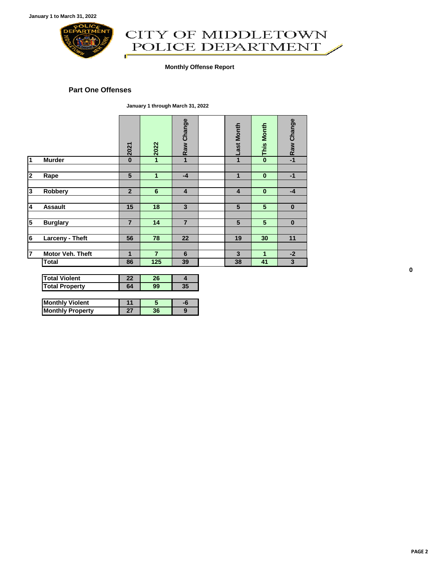

# CITY OF MIDDLETOWN<br>POLICE DEPARTMENT ď

#### **Monthly Offense Report**

#### **Part One Offenses**

**January 1 through March 31, 2022**

|                |                       | 2021           | 2022           | Raw Change              | <b>Last Month</b>       | <b>This Month</b> | Raw Change |
|----------------|-----------------------|----------------|----------------|-------------------------|-------------------------|-------------------|------------|
| 1              | <b>Murder</b>         | $\bf{0}$       | 1              | $\mathbf{1}$            | 1                       | $\bf{0}$          | $-1$       |
|                |                       |                |                |                         |                         |                   |            |
| 2              | Rape                  | $5\phantom{1}$ | $\mathbf{1}$   | $-4$                    | 1                       | $\bf{0}$          | $-1$       |
|                |                       |                |                |                         |                         |                   |            |
| 3              | Robbery               | $\overline{2}$ | $6\phantom{1}$ | $\overline{\mathbf{4}}$ | $\overline{\mathbf{4}}$ | $\bf{0}$          | $-4$       |
|                |                       |                |                |                         |                         |                   |            |
| 4              | <b>Assault</b>        | 15             | 18             | $\overline{3}$          | 5                       | 5                 | $\bf{0}$   |
|                |                       |                |                |                         |                         |                   |            |
| 5              | <b>Burglary</b>       | $\overline{7}$ | 14             | $\overline{7}$          | 5                       | 5                 | $\bf{0}$   |
|                |                       |                |                |                         |                         |                   |            |
| 6              | Larceny - Theft       | 56             | 78             | 22                      | 19                      | 30                | 11         |
|                |                       |                |                |                         |                         |                   |            |
| $\overline{7}$ | Motor Veh. Theft      | 1              | $\overline{7}$ | 6                       | $\overline{3}$          | 1                 | $-2$       |
|                | <b>Total</b>          | 86             | 125            | 39                      | 38                      | 41                | 3          |
|                |                       |                |                |                         |                         |                   |            |
|                | <b>Total Violent</b>  | 22             | 26             | $\overline{4}$          |                         |                   |            |
|                | <b>Total Property</b> | 64             | 99             | 35                      |                         |                   |            |

| <b>Monthly Violent</b>  |  |  |
|-------------------------|--|--|
| <b>Monthly Property</b> |  |  |

**0**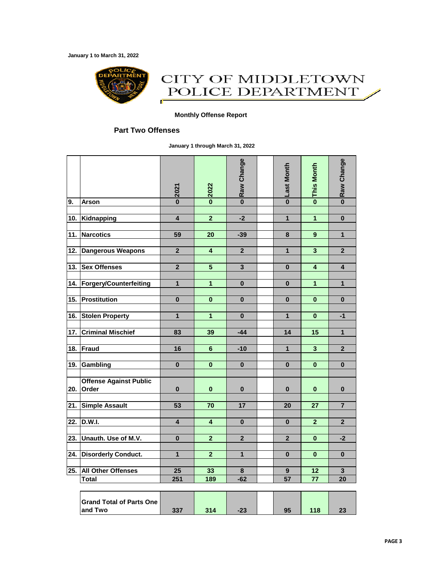**January 1 to March 31, 2022**



### CITY OF MIDDLETOWN POLICE DEPARTMENT Œ

#### **Monthly Offense Report**

#### **Part Two Offenses**

**January 1 through March 31, 2022**

|     |                                            | 2021                    | 2022                    | Raw Change              | Last Month              | <b>This Month</b>       | Raw Change              |
|-----|--------------------------------------------|-------------------------|-------------------------|-------------------------|-------------------------|-------------------------|-------------------------|
| 9.  | <b>Arson</b>                               | $\overline{\mathbf{0}}$ | $\overline{\mathbf{0}}$ | $\overline{\mathbf{0}}$ | $\overline{\mathbf{0}}$ | $\overline{\mathbf{0}}$ | $\overline{\mathbf{0}}$ |
|     |                                            |                         |                         |                         |                         |                         |                         |
| 10. | Kidnapping                                 | 4                       | $\overline{2}$          | $-2$                    | $\overline{1}$          | $\overline{1}$          | $\mathbf{0}$            |
| 11. | <b>Narcotics</b>                           | 59                      | 20                      | $-39$                   | 8                       | 9                       | $\mathbf{1}$            |
|     |                                            |                         |                         |                         |                         |                         |                         |
| 12. | <b>Dangerous Weapons</b>                   | $\overline{\mathbf{2}}$ | 4                       | $\mathbf{2}$            | 1                       | $\mathbf{3}$            | $\overline{2}$          |
|     |                                            |                         |                         |                         |                         |                         |                         |
| 13. | <b>Sex Offenses</b>                        | $\overline{2}$          | 5                       | 3                       | $\bf{0}$                | 4                       | 4                       |
|     |                                            | $\mathbf{1}$            | $\overline{1}$          | $\bf{0}$                | $\bf{0}$                | $\mathbf{1}$            | $\mathbf{1}$            |
| 14. | <b>Forgery/Counterfeiting</b>              |                         |                         |                         |                         |                         |                         |
| 15. | <b>Prostitution</b>                        | $\bf{0}$                | $\bf{0}$                | $\bf{0}$                | 0                       | $\bf{0}$                | $\bf{0}$                |
|     |                                            |                         |                         |                         |                         |                         |                         |
| 16. | <b>Stolen Property</b>                     | $\mathbf{1}$            | $\mathbf{1}$            | $\bf{0}$                | 1                       | $\bf{0}$                | $-1$                    |
|     |                                            |                         |                         |                         |                         |                         |                         |
| 17. | <b>Criminal Mischief</b>                   | 83                      | 39                      | $-44$                   | 14                      | 15                      | $\mathbf{1}$            |
| 18. | <b>Fraud</b>                               | 16                      | 6                       | $-10$                   | $\mathbf{1}$            | $\overline{\mathbf{3}}$ | $\overline{2}$          |
|     |                                            |                         |                         |                         |                         |                         |                         |
| 19. | Gambling                                   | 0                       | 0                       | $\bf{0}$                | 0                       | $\bf{0}$                | $\bf{0}$                |
|     |                                            |                         |                         |                         |                         |                         |                         |
|     | <b>Offense Against Public</b>              |                         |                         |                         |                         |                         |                         |
| 20. | Order                                      | $\bf{0}$                | $\bf{0}$                | $\bf{0}$                | 0                       | $\bf{0}$                | $\bf{0}$                |
|     |                                            |                         |                         |                         |                         |                         |                         |
| 21. | <b>Simple Assault</b>                      | 53                      | 70                      | 17                      | 20                      | 27                      | $\overline{7}$          |
| 22. | D.W.I.                                     | $\overline{\mathbf{4}}$ | $\overline{\mathbf{4}}$ | $\bf{0}$                | $\bf{0}$                | $\overline{2}$          | $\mathbf{2}$            |
|     |                                            |                         |                         |                         |                         |                         |                         |
| 23. | Unauth. Use of M.V.                        | $\bf{0}$                | $\overline{2}$          | $\mathbf{2}$            | $\mathbf{2}$            | $\bf{0}$                | $-2$                    |
|     |                                            |                         |                         |                         |                         |                         |                         |
| 24. | <b>Disorderly Conduct.</b>                 | 1                       | $\overline{\mathbf{2}}$ | $\overline{\mathbf{1}}$ | 0                       | $\bf{0}$                | $\bf{0}$                |
| 25. |                                            |                         |                         |                         |                         |                         |                         |
|     | All Other Offenses<br><b>Total</b>         | 25<br>251               | 33<br>189               | 8<br>$-62$              | 9<br>57                 | 12<br>77                | 3<br>$\overline{20}$    |
|     |                                            |                         |                         |                         |                         |                         |                         |
|     | <b>Grand Total of Parts One</b><br>and Two | 337                     | 314                     | $-23$                   | 95                      | 118                     | 23                      |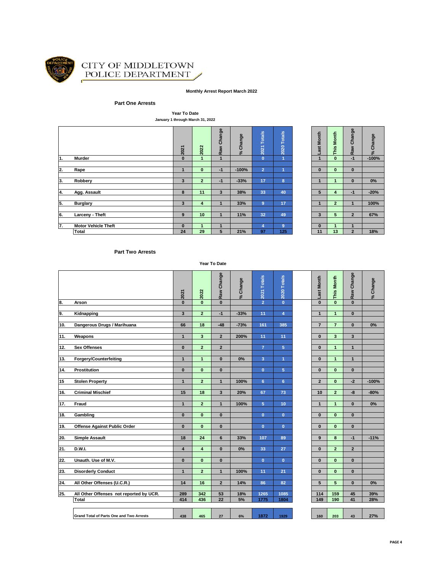

#### CITY OF MIDDLETOWN POLICE DEPARTMENT Í

#### **Monthly Arrest Report March 2022**

#### **Part One Arrests**

**Year To Date January 1 through March 31, 2022**

|    |                            | 2021                    | 2022           | Raw Change     | % Change | <b>Totals</b><br>$\overline{2021}$ | 2020 Totals    | Month<br>ast | Month<br>This  | Change<br>Raw  | Change<br>ಸ |
|----|----------------------------|-------------------------|----------------|----------------|----------|------------------------------------|----------------|--------------|----------------|----------------|-------------|
| 1. | Murder                     | $\bf{0}$                |                | 4              |          | $\mathbf{0}$                       | и              |              | $\mathbf{0}$   | $-1$           | $-100%$     |
|    |                            |                         |                |                |          |                                    |                |              |                |                |             |
| 2. | Rape                       | 1.                      | $\mathbf{0}$   | $-1$           | $-100%$  | $\overline{2}$                     |                | $\mathbf{0}$ | $\mathbf{0}$   | $\bf{0}$       |             |
|    |                            |                         |                |                |          |                                    |                |              |                |                |             |
| 3. | Robbery                    | 3                       | $\overline{2}$ | $-1$           | $-33%$   | 17                                 | 8              |              | 1              | $\bf{0}$       | $0\%$       |
|    |                            |                         |                |                |          |                                    |                |              |                |                |             |
| 4. | Agg. Assault               | 8                       | 11             | $\overline{3}$ | 38%      | 33                                 | 40             | 5            | 4              | $-1$           | $-20%$      |
|    |                            |                         |                |                |          |                                    |                |              |                |                |             |
| 5. | <b>Burglary</b>            | $\overline{\mathbf{3}}$ | 4              |                | 33%      | $\overline{9}$                     | 17             |              | $\overline{2}$ |                | 100%        |
|    |                            |                         |                |                |          |                                    |                |              |                |                |             |
| 6. | Larceny - Theft            | 9                       | 10             | 1              | 11%      | 32                                 | 49             | 3            | 5              | $\overline{2}$ | 67%         |
|    |                            |                         |                |                |          |                                    |                |              |                |                |             |
| 7. | <b>Motor Vehicle Theft</b> | $\bf{0}$                |                |                |          | 4                                  | $\overline{9}$ | $\bf{0}$     |                | А.             |             |
|    | <b>Total</b>               | 24                      | 29             | 5              | 21%      | 97                                 | 125            | 11           | 13             | $\overline{2}$ | 18%         |

| -Last Month     | o This Month    | - Raw Change            | % Change |
|-----------------|-----------------|-------------------------|----------|
|                 |                 |                         | $-100%$  |
|                 |                 |                         |          |
| $\bf{0}$        | 0               | $\bf{0}$                |          |
|                 |                 |                         |          |
| 1               | 1               | $\bf{0}$                | 0%       |
|                 |                 |                         |          |
| 5               | 4               | $-1$                    | $-20%$   |
|                 |                 |                         |          |
| 1               | $\overline{a}$  | 1                       | 100%     |
|                 |                 |                         |          |
| 3               | 5               | $\overline{2}$          | 67%      |
|                 |                 |                         |          |
| 0               | 1               | 1                       |          |
| $\overline{11}$ | $\overline{13}$ | $\overline{\mathbf{2}}$ | 18%      |

#### **Part Two Arrests**

**Year To Date**

|     |                                          | 2021                    | 2022                    | Raw Change     | % Change | 2021 Totals    | 2020 Totals    | Last Month      | This Month     | Raw Change     | % Change |
|-----|------------------------------------------|-------------------------|-------------------------|----------------|----------|----------------|----------------|-----------------|----------------|----------------|----------|
| 8.  | Arson                                    | $\bf{0}$                | $\mathbf{0}$            | $\bf{0}$       |          | $\overline{2}$ | $\mathbf{0}$   | $\bf{0}$        | $\mathbf{0}$   | $\mathbf{0}$   |          |
|     |                                          |                         |                         |                |          |                |                |                 |                |                |          |
| 9.  | Kidnapping                               | 3                       | $\overline{2}$          | $-1$           | $-33%$   | 11             | $\overline{4}$ | $\mathbf{1}$    | $\mathbf{1}$   | $\mathbf{0}$   |          |
|     |                                          |                         |                         |                |          |                |                |                 |                |                |          |
| 10. | Dangerous Drugs / Marihuana              | 66                      | 18                      | $-48$          | $-73%$   | 161            | 385            | $\overline{7}$  | $\overline{7}$ | $\mathbf{0}$   | 0%       |
|     |                                          |                         |                         |                |          |                |                |                 |                |                |          |
| 11. | Weapons                                  | $\mathbf{1}$            | 3                       | $\overline{2}$ | 200%     | 11             | 11             | $\mathbf{0}$    | 3              | 3              |          |
|     |                                          | $\mathbf{0}$            | $\overline{2}$          | $\overline{2}$ |          | $\overline{7}$ |                |                 | $\mathbf{1}$   | $\mathbf{1}$   |          |
| 12. | <b>Sex Offenses</b>                      |                         |                         |                |          |                | 5              | $\bf{0}$        |                |                |          |
| 13. | <b>Forgery/Counterfeiting</b>            | $\mathbf{1}$            | $\mathbf{1}$            | $\bf{0}$       | 0%       | $\overline{3}$ | 1              | $\bf{0}$        | $\mathbf{1}$   | $\mathbf{1}$   |          |
|     |                                          |                         |                         |                |          |                |                |                 |                |                |          |
| 14. | Prostitution                             | $\bf{0}$                | $\mathbf{0}$            | $\bf{0}$       |          | $\mathbf{0}$   | 5              | $\mathbf{0}$    | $\mathbf{0}$   | $\mathbf{0}$   |          |
|     |                                          |                         |                         |                |          |                |                |                 |                |                |          |
| 15  | <b>Stolen Property</b>                   | $\mathbf{1}$            | $\overline{a}$          | $\mathbf{1}$   | 100%     | 6              | 6              | $\overline{2}$  | $\mathbf{0}$   | $-2$           | $-100%$  |
|     |                                          |                         |                         |                |          |                |                |                 |                |                |          |
| 16. | <b>Criminal Mischief</b>                 | 15                      | 18                      | $\mathbf{3}$   | 20%      | 67             | 73             | 10              | $\overline{2}$ | -8             | $-80%$   |
|     |                                          |                         |                         |                |          |                |                |                 |                |                |          |
| 17. | Fraud                                    | $\mathbf{1}$            | $\overline{2}$          | $\mathbf{1}$   | 100%     | 5              | 10             | $\mathbf{1}$    | $\mathbf{1}$   | $\mathbf{0}$   | 0%       |
|     |                                          |                         |                         |                |          |                |                |                 |                |                |          |
| 18. | Gambling                                 | $\mathbf{0}$            | $\mathbf{0}$            | $\bf{0}$       |          | $\mathbf{0}$   | $\mathbf{0}$   | $\mathbf{0}$    | $\mathbf{0}$   | $\mathbf{0}$   |          |
|     |                                          |                         |                         |                |          |                |                |                 |                |                |          |
| 19. | <b>Offense Against Public Order</b>      | $\mathbf{0}$            | $\mathbf{0}$            | $\mathbf{0}$   |          | $\mathbf{0}$   | $\mathbf{0}$   | $\mathbf{0}$    | $\mathbf{0}$   | $\mathbf{0}$   |          |
|     |                                          |                         |                         |                |          |                |                |                 |                |                |          |
| 20. | <b>Simple Assault</b>                    | 18                      | 24                      | 6              | 33%      | 107            | 89             | 9               | 8              | $-1$           | $-11%$   |
|     |                                          |                         |                         |                |          |                |                |                 |                |                |          |
| 21. | <b>D.W.I.</b>                            | $\overline{\mathbf{4}}$ | 4                       | $\bf{0}$       | 0%       | 33             | 27             | $\mathbf{0}$    | $\overline{2}$ | $\overline{2}$ |          |
|     |                                          |                         |                         |                |          |                |                |                 |                |                |          |
| 22. | Unauth. Use of M.V.                      | $\mathbf{0}$            | $\overline{\mathbf{0}}$ | $\mathbf{0}$   |          | $\mathbf{0}$   | $\mathbf{0}$   | $\mathbf{0}$    | $\overline{0}$ | $\mathbf{0}$   |          |
|     |                                          |                         |                         |                |          |                |                |                 |                |                |          |
| 23. | <b>Disorderly Conduct</b>                | $\mathbf{1}$            | $\overline{2}$          | $\mathbf{1}$   | 100%     | 11             | 21             | $\bf{0}$        | $\mathbf{0}$   | $\mathbf{0}$   |          |
| 24. | All Other Offenses (U.C.R.)              | 14                      | 16                      | $\overline{2}$ | 14%      | 86             | 82             | $5\overline{5}$ | 5              | $\mathbf{0}$   | 0%       |
|     |                                          |                         |                         |                |          |                |                |                 |                |                |          |
| 25. | All Other Offenses not reported by UCR.  | 289                     | 342                     | 53             | 18%      | 1265           | 1085           | 114             | 159            | 45             | 39%      |
|     | <b>Total</b>                             | 414                     | 436                     | 22             | 5%       | 1775           | 1804           | 149             | 190            | 41             | 28%      |
|     |                                          |                         |                         |                |          |                |                |                 |                |                |          |
|     | Grand Total of Parts One and Two Arrests | 438                     | 465                     | 27             | 6%       | 1872           | 1929           | 160             | 203            | 43             | 27%      |
|     |                                          |                         |                         |                |          |                |                |                 |                |                |          |